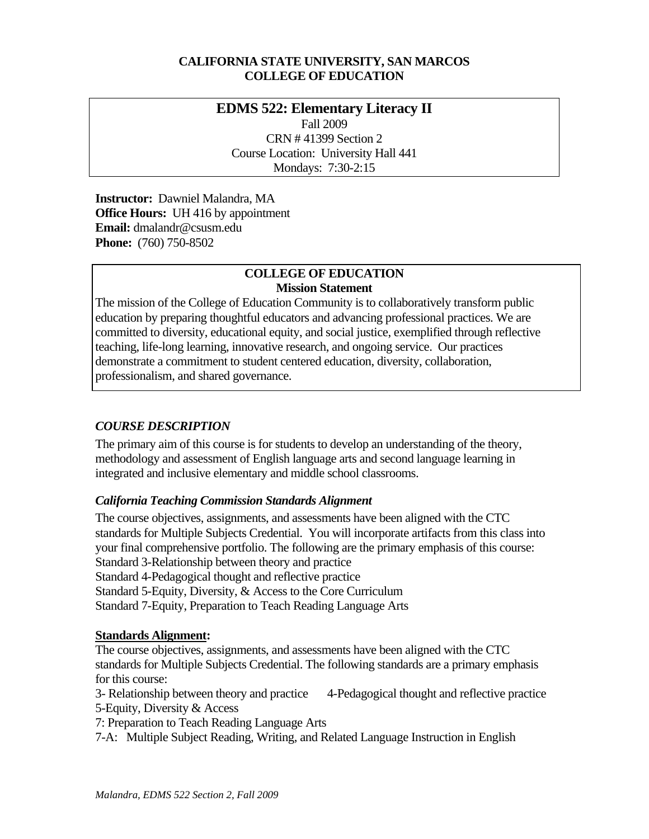#### **CALIFORNIA STATE UNIVERSITY, SAN MARCOS COLLEGE OF EDUCATION**

# **EDMS 522: Elementary Literacy II**  Fall 2009

CRN # 41399 Section 2 Course Location: University Hall 441 Mondays: 7:30-2:15

 **Instructor:** Dawniel Malandra, MA **Office Hours:** UH 416 by appointment  **Email:** dmalandr@csusm.edu **Phone:** (760) 750-8502

#### **COLLEGE OF EDUCATION Mission Statement**

The mission of the College of Education Community is to collaboratively transform public education by preparing thoughtful educators and advancing professional practices. We are committed to diversity, educational equity, and social justice, exemplified through reflective teaching, life-long learning, innovative research, and ongoing service. Our practices demonstrate a commitment to student centered education, diversity, collaboration, professionalism, and shared governance.

# *COURSE DESCRIPTION*

The primary aim of this course is for students to develop an understanding of the theory, methodology and assessment of English language arts and second language learning in integrated and inclusive elementary and middle school classrooms.

# *California Teaching Commission Standards Alignment*

The course objectives, assignments, and assessments have been aligned with the CTC standards for Multiple Subjects Credential. You will incorporate artifacts from this class into your final comprehensive portfolio. The following are the primary emphasis of this course: Standard 3-Relationship between theory and practice Standard 4-Pedagogical thought and reflective practice Standard 5-Equity, Diversity, & Access to the Core Curriculum Standard 7-Equity, Preparation to Teach Reading Language Arts

# **Standards Alignment:**

The course objectives, assignments, and assessments have been aligned with the CTC standards for Multiple Subjects Credential. The following standards are a primary emphasis for this course:

5-Equity, Diversity & Access 3- Relationship between theory and practice 4-Pedagogical thought and reflective practice

7: Preparation to Teach Reading Language Arts

7-A: Multiple Subject Reading, Writing, and Related Language Instruction in English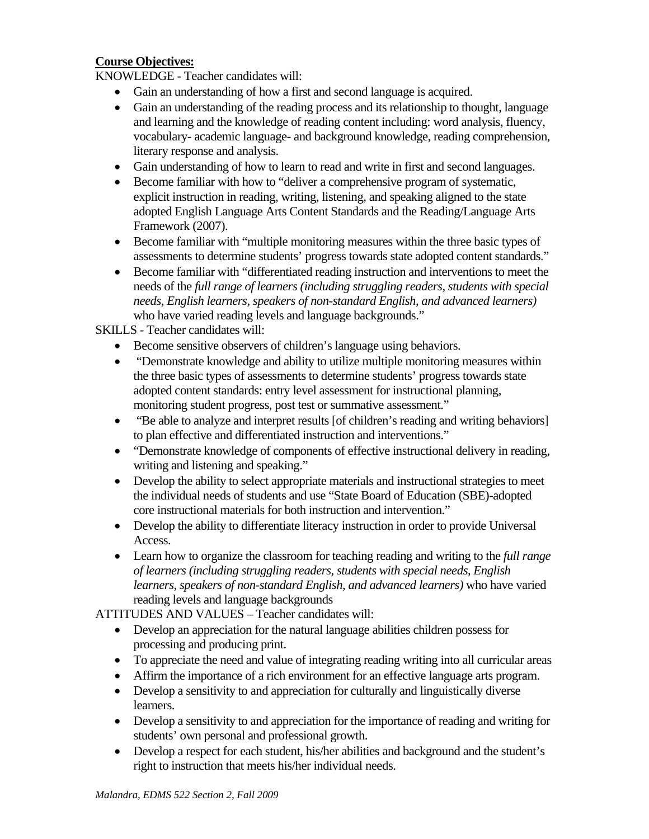### **Course Objectives:**

KNOWLEDGE - Teacher candidates will:

- Gain an understanding of how a first and second language is acquired.
- Gain an understanding of the reading process and its relationship to thought, language and learning and the knowledge of reading content including: word analysis, fluency, vocabulary- academic language- and background knowledge, reading comprehension, literary response and analysis.
- Gain understanding of how to learn to read and write in first and second languages.
- Become familiar with how to "deliver a comprehensive program of systematic, explicit instruction in reading, writing, listening, and speaking aligned to the state adopted English Language Arts Content Standards and the Reading/Language Arts Framework (2007).
- Become familiar with "multiple monitoring measures within the three basic types of assessments to determine students' progress towards state adopted content standards."
- Become familiar with "differentiated reading instruction and interventions to meet the needs of the *full range of learners (including struggling readers, students with special needs, English learners, speakers of non-standard English, and advanced learners)*  who have varied reading levels and language backgrounds."

SKILLS - Teacher candidates will:

- Become sensitive observers of children's language using behaviors.
- "Demonstrate knowledge and ability to utilize multiple monitoring measures within the three basic types of assessments to determine students' progress towards state adopted content standards: entry level assessment for instructional planning, monitoring student progress, post test or summative assessment."
- "Be able to analyze and interpret results [of children's reading and writing behaviors] to plan effective and differentiated instruction and interventions."
- "Demonstrate knowledge of components of effective instructional delivery in reading, writing and listening and speaking."
- Develop the ability to select appropriate materials and instructional strategies to meet the individual needs of students and use "State Board of Education (SBE)-adopted core instructional materials for both instruction and intervention."
- Develop the ability to differentiate literacy instruction in order to provide Universal Access.
- • Learn how to organize the classroom for teaching reading and writing to the *full range of learners (including struggling readers, students with special needs, English learners, speakers of non-standard English, and advanced learners)* who have varied reading levels and language backgrounds

ATTITUDES AND VALUES – Teacher candidates will:

- Develop an appreciation for the natural language abilities children possess for processing and producing print.
- To appreciate the need and value of integrating reading writing into all curricular areas
- Affirm the importance of a rich environment for an effective language arts program.
- Develop a sensitivity to and appreciation for culturally and linguistically diverse learners.
- Develop a sensitivity to and appreciation for the importance of reading and writing for students' own personal and professional growth.
- Develop a respect for each student, his/her abilities and background and the student's right to instruction that meets his/her individual needs.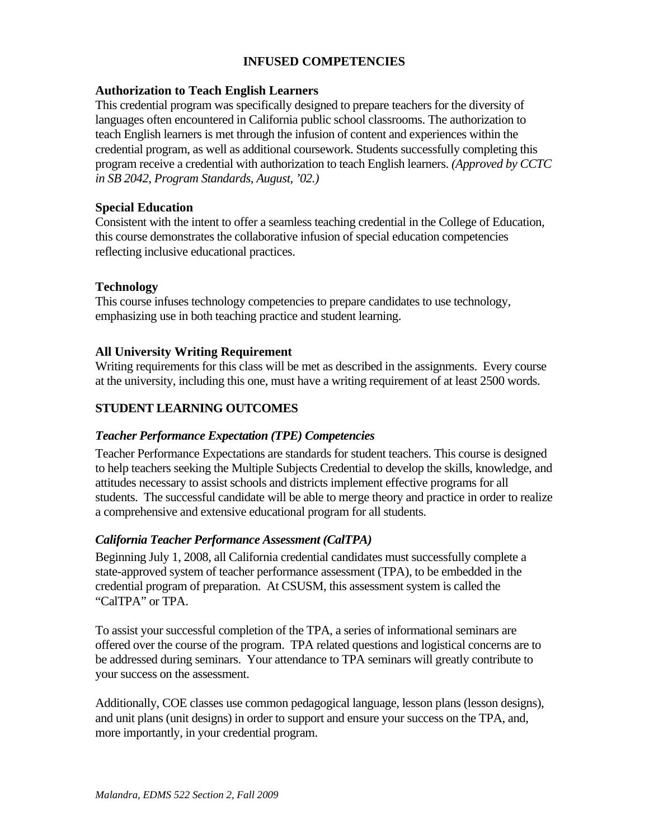#### **INFUSED COMPETENCIES**

#### **Authorization to Teach English Learners**

This credential program was specifically designed to prepare teachers for the diversity of languages often encountered in California public school classrooms. The authorization to teach English learners is met through the infusion of content and experiences within the credential program, as well as additional coursework. Students successfully completing this program receive a credential with authorization to teach English learners. *(Approved by CCTC in SB 2042, Program Standards, August, '02.)* 

#### **Special Education**

Consistent with the intent to offer a seamless teaching credential in the College of Education, this course demonstrates the collaborative infusion of special education competencies reflecting inclusive educational practices.

#### **Technology**

This course infuses technology competencies to prepare candidates to use technology, emphasizing use in both teaching practice and student learning.

#### **All University Writing Requirement**

Writing requirements for this class will be met as described in the assignments. Every course at the university, including this one, must have a writing requirement of at least 2500 words.

#### **STUDENT LEARNING OUTCOMES**

#### *Teacher Performance Expectation (TPE) Competencies*

Teacher Performance Expectations are standards for student teachers. This course is designed to help teachers seeking the Multiple Subjects Credential to develop the skills, knowledge, and attitudes necessary to assist schools and districts implement effective programs for all students. The successful candidate will be able to merge theory and practice in order to realize a comprehensive and extensive educational program for all students.

#### *California Teacher Performance Assessment (CalTPA)*

Beginning July 1, 2008, all California credential candidates must successfully complete a state-approved system of teacher performance assessment (TPA), to be embedded in the credential program of preparation. At CSUSM, this assessment system is called the "CalTPA" or TPA.

To assist your successful completion of the TPA, a series of informational seminars are offered over the course of the program. TPA related questions and logistical concerns are to be addressed during seminars. Your attendance to TPA seminars will greatly contribute to your success on the assessment.

Additionally, COE classes use common pedagogical language, lesson plans (lesson designs), and unit plans (unit designs) in order to support and ensure your success on the TPA, and, more importantly, in your credential program.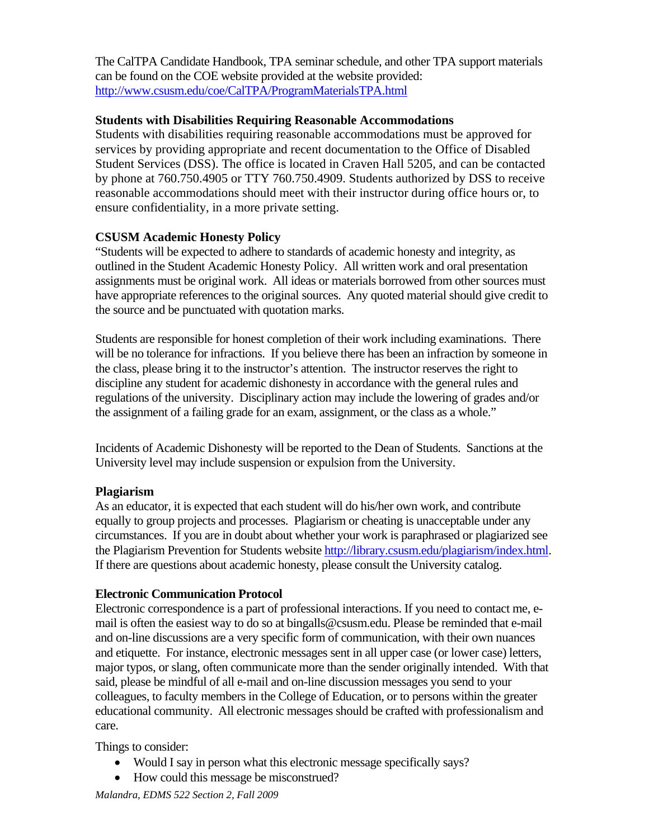The CalTPA Candidate Handbook, TPA seminar schedule, and other TPA support materials can be found on the COE website provided at the website provided: http://www.csusm.edu/coe/CalTPA/ProgramMaterialsTPA.html

#### **Students with Disabilities Requiring Reasonable Accommodations**

Students with disabilities requiring reasonable accommodations must be approved for services by providing appropriate and recent documentation to the Office of Disabled Student Services (DSS). The office is located in Craven Hall 5205, and can be contacted by phone at 760.750.4905 or TTY 760.750.4909. Students authorized by DSS to receive reasonable accommodations should meet with their instructor during office hours or, to ensure confidentiality, in a more private setting.

### **CSUSM Academic Honesty Policy**

 have appropriate references to the original sources. Any quoted material should give credit to "Students will be expected to adhere to standards of academic honesty and integrity, as outlined in the Student Academic Honesty Policy. All written work and oral presentation assignments must be original work. All ideas or materials borrowed from other sources must the source and be punctuated with quotation marks.

Students are responsible for honest completion of their work including examinations. There will be no tolerance for infractions. If you believe there has been an infraction by someone in the class, please bring it to the instructor's attention. The instructor reserves the right to discipline any student for academic dishonesty in accordance with the general rules and regulations of the university. Disciplinary action may include the lowering of grades and/or the assignment of a failing grade for an exam, assignment, or the class as a whole."

Incidents of Academic Dishonesty will be reported to the Dean of Students. Sanctions at the University level may include suspension or expulsion from the University.

#### **Plagiarism**

As an educator, it is expected that each student will do his/her own work, and contribute equally to group projects and processes. Plagiarism or cheating is unacceptable under any circumstances. If you are in doubt about whether your work is paraphrased or plagiarized see the Plagiarism Prevention for Students website http://library.csusm.edu/plagiarism/index.html. If there are questions about academic honesty, please consult the University catalog.

#### **Electronic Communication Protocol**

Electronic correspondence is a part of professional interactions. If you need to contact me, email is often the easiest way to do so at bingalls@csusm.edu. Please be reminded that e-mail and on-line discussions are a very specific form of communication, with their own nuances and etiquette. For instance, electronic messages sent in all upper case (or lower case) letters, major typos, or slang, often communicate more than the sender originally intended. With that said, please be mindful of all e-mail and on-line discussion messages you send to your colleagues, to faculty members in the College of Education, or to persons within the greater educational community. All electronic messages should be crafted with professionalism and care.

Things to consider:

- Would I say in person what this electronic message specifically says?
- How could this message be misconstrued?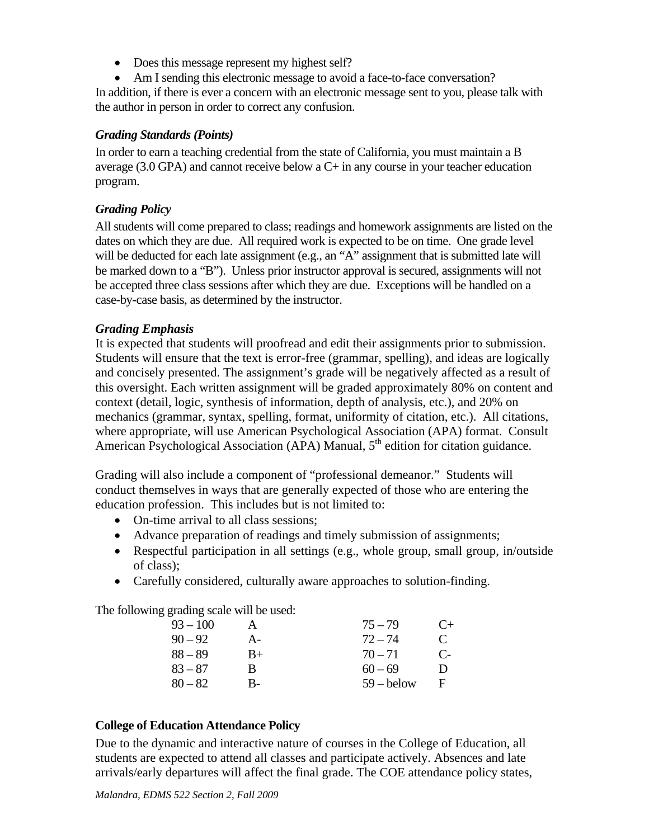- • Does this message represent my highest self?
- Am I sending this electronic message to avoid a face-to-face conversation?

In addition, if there is ever a concern with an electronic message sent to you, please talk with the author in person in order to correct any confusion.

#### *Grading Standards (Points)*

In order to earn a teaching credential from the state of California, you must maintain a B average  $(3.0 \text{ GPA})$  and cannot receive below a  $C+$  in any course in your teacher education program.

#### *Grading Policy*

All students will come prepared to class; readings and homework assignments are listed on the dates on which they are due. All required work is expected to be on time. One grade level will be deducted for each late assignment (e.g., an "A" assignment that is submitted late will be marked down to a "B"). Unless prior instructor approval is secured, assignments will not be accepted three class sessions after which they are due. Exceptions will be handled on a case-by-case basis, as determined by the instructor.

### *Grading Emphasis*

It is expected that students will proofread and edit their assignments prior to submission. Students will ensure that the text is error-free (grammar, spelling), and ideas are logically and concisely presented. The assignment's grade will be negatively affected as a result of this oversight. Each written assignment will be graded approximately 80% on content and context (detail, logic, synthesis of information, depth of analysis, etc.), and 20% on mechanics (grammar, syntax, spelling, format, uniformity of citation, etc.). All citations, where appropriate, will use American Psychological Association (APA) format. Consult American Psychological Association (APA) Manual,  $5<sup>th</sup>$  edition for citation guidance.

Grading will also include a component of "professional demeanor." Students will conduct themselves in ways that are generally expected of those who are entering the education profession. This includes but is not limited to:

- On-time arrival to all class sessions;
- Advance preparation of readings and timely submission of assignments;
- Respectful participation in all settings (e.g., whole group, small group, in/outside of class);
- Carefully considered, culturally aware approaches to solution-finding.

The following grading scale will be used:

| $93 - 100$ |      | $75 - 79$    | $C_{\pm}$     |
|------------|------|--------------|---------------|
| $90 - 92$  | A-   | $72 - 74$    | $\mathcal{C}$ |
| $88 - 89$  | $B+$ | $70 - 71$    | $\mathbb{C}$  |
| $83 - 87$  | в    | $60 - 69$    | Ð             |
| $80 - 82$  | В-   | $59 -$ below | Ħ             |

#### **College of Education Attendance Policy**

Due to the dynamic and interactive nature of courses in the College of Education, all students are expected to attend all classes and participate actively. Absences and late arrivals/early departures will affect the final grade. The COE attendance policy states,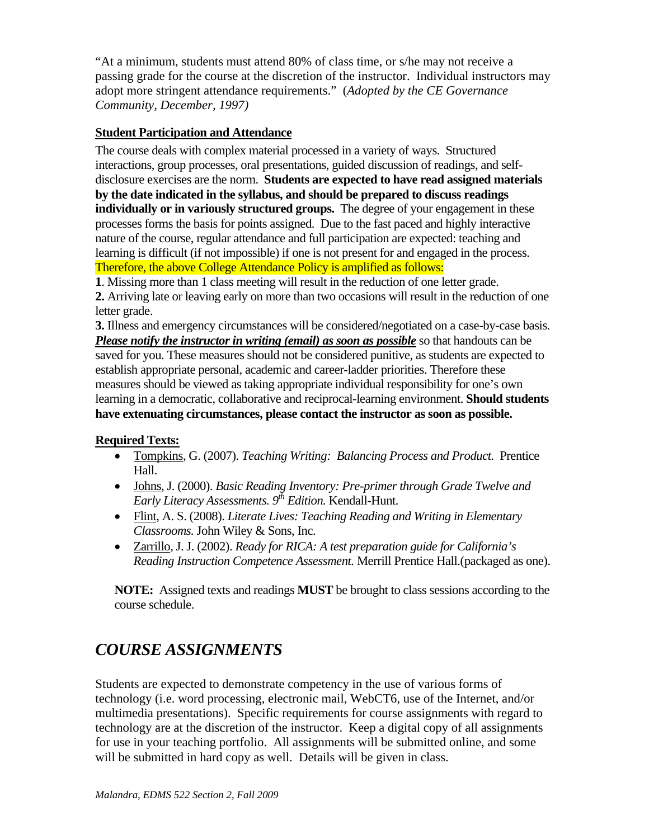"At a minimum, students must attend 80% of class time, or s/he may not receive a passing grade for the course at the discretion of the instructor. Individual instructors may adopt more stringent attendance requirements." (*Adopted by the CE Governance Community, December, 1997)* 

#### **Student Participation and Attendance**

 disclosure exercises are the norm. **Students are expected to have read assigned materials**  The course deals with complex material processed in a variety of ways. Structured interactions, group processes, oral presentations, guided discussion of readings, and self**by the date indicated in the syllabus, and should be prepared to discuss readings individually or in variously structured groups.** The degree of your engagement in these processes forms the basis for points assigned. Due to the fast paced and highly interactive nature of the course, regular attendance and full participation are expected: teaching and learning is difficult (if not impossible) if one is not present for and engaged in the process. Therefore, the above College Attendance Policy is amplified as follows:

**1**. Missing more than 1 class meeting will result in the reduction of one letter grade.

**2.** Arriving late or leaving early on more than two occasions will result in the reduction of one letter grade.

 **3.** Illness and emergency circumstances will be considered/negotiated on a case-by-case basis. *Please notify the instructor in writing (email) as soon as possible* so that handouts can be saved for you. These measures should not be considered punitive, as students are expected to establish appropriate personal, academic and career-ladder priorities. Therefore these measures should be viewed as taking appropriate individual responsibility for one's own learning in a democratic, collaborative and reciprocal-learning environment. **Should students have extenuating circumstances, please contact the instructor as soon as possible.** 

#### **Required Texts:**

- • Tompkins, G. (2007). *Teaching Writing: Balancing Process and Product.* Prentice Hall.
- • Johns, J. (2000). *Basic Reading Inventory: Pre-primer through Grade Twelve and Early Literacy Assessments.*  $9^{th}$  *Edition.* Kendall-Hunt.
- • Flint, A. S. (2008). *Literate Lives: Teaching Reading and Writing in Elementary Classrooms.* John Wiley & Sons, Inc.
- • Zarrillo, J. J. (2002). *Ready for RICA: A test preparation guide for California's Reading Instruction Competence Assessment.* Merrill Prentice Hall.(packaged as one).

**NOTE:** Assigned texts and readings **MUST** be brought to class sessions according to the course schedule.

# *COURSE ASSIGNMENTS*

Students are expected to demonstrate competency in the use of various forms of technology (i.e. word processing, electronic mail, WebCT6, use of the Internet, and/or multimedia presentations). Specific requirements for course assignments with regard to technology are at the discretion of the instructor. Keep a digital copy of all assignments for use in your teaching portfolio. All assignments will be submitted online, and some will be submitted in hard copy as well. Details will be given in class.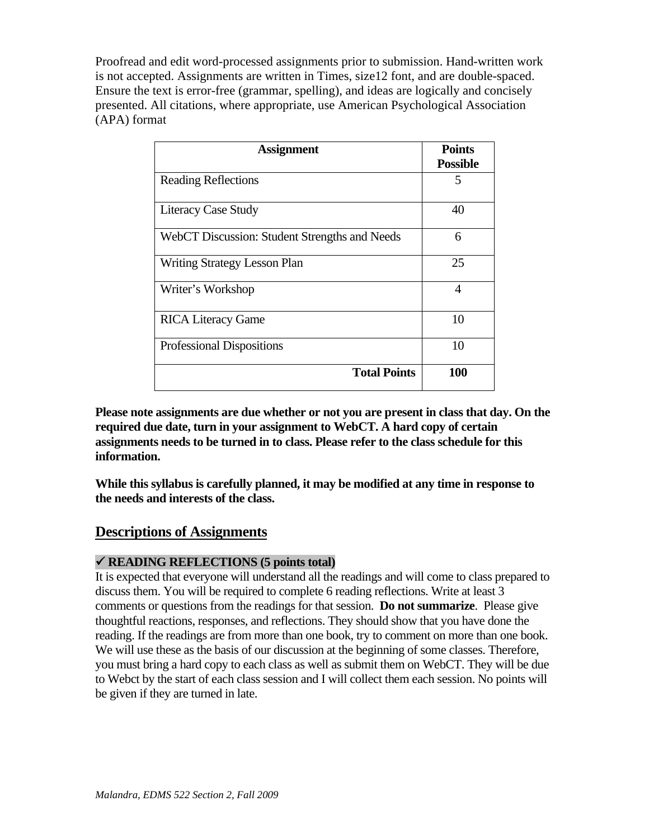Proofread and edit word-processed assignments prior to submission. Hand-written work is not accepted. Assignments are written in Times, size12 font, and are double-spaced. Ensure the text is error-free (grammar, spelling), and ideas are logically and concisely presented. All citations, where appropriate, use American Psychological Association (APA) format

| <b>Assignment</b>                             | <b>Points</b><br><b>Possible</b> |
|-----------------------------------------------|----------------------------------|
| <b>Reading Reflections</b>                    | 5                                |
| <b>Literacy Case Study</b>                    | 40                               |
| WebCT Discussion: Student Strengths and Needs | 6                                |
| <b>Writing Strategy Lesson Plan</b>           | 25                               |
| Writer's Workshop                             | 4                                |
| <b>RICA Literacy Game</b>                     | 10                               |
| <b>Professional Dispositions</b>              | 10                               |
| <b>Total Points</b>                           | 100                              |

information. **Please note assignments are due whether or not you are present in class that day. On the required due date, turn in your assignment to WebCT. A hard copy of certain assignments needs to be turned in to class. Please refer to the class schedule for this** 

While this syllabus is carefully planned, it may be modified at any time in response to **the needs and interests of the class.** 

# **Descriptions of Assignments**

#### 9 **READING REFLECTIONS (5 points total)**

It is expected that everyone will understand all the readings and will come to class prepared to discuss them. You will be required to complete 6 reading reflections. Write at least 3 comments or questions from the readings for that session. **Do not summarize**. Please give thoughtful reactions, responses, and reflections. They should show that you have done the reading. If the readings are from more than one book, try to comment on more than one book. We will use these as the basis of our discussion at the beginning of some classes. Therefore, you must bring a hard copy to each class as well as submit them on WebCT. They will be due to Webct by the start of each class session and I will collect them each session. No points will be given if they are turned in late.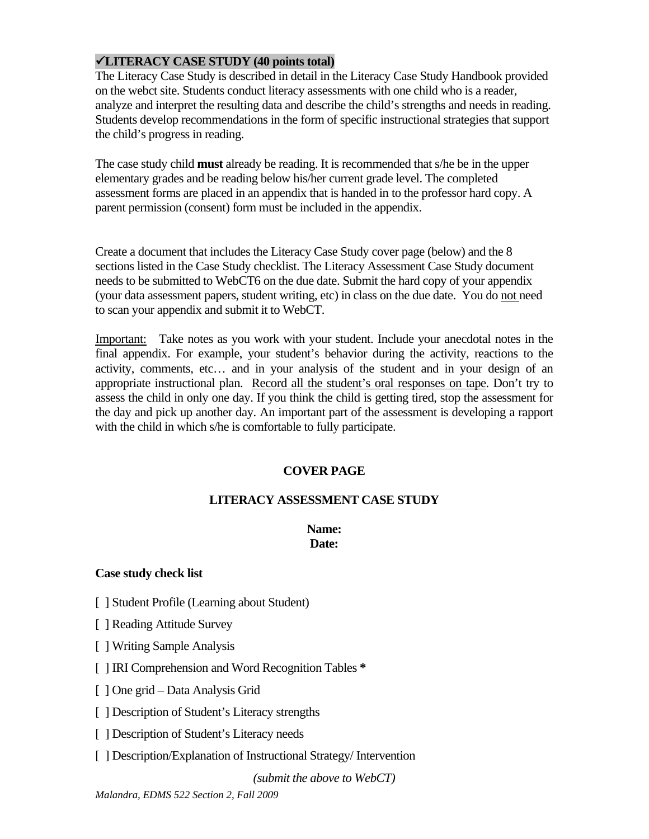#### 9**LITERACY CASE STUDY (40 points total)**

The Literacy Case Study is described in detail in the Literacy Case Study Handbook provided on the webct site. Students conduct literacy assessments with one child who is a reader, analyze and interpret the resulting data and describe the child's strengths and needs in reading. Students develop recommendations in the form of specific instructional strategies that support the child's progress in reading.

The case study child **must** already be reading. It is recommended that s/he be in the upper elementary grades and be reading below his/her current grade level. The completed assessment forms are placed in an appendix that is handed in to the professor hard copy. A parent permission (consent) form must be included in the appendix.

Create a document that includes the Literacy Case Study cover page (below) and the 8 sections listed in the Case Study checklist. The Literacy Assessment Case Study document needs to be submitted to WebCT6 on the due date. Submit the hard copy of your appendix (your data assessment papers, student writing, etc) in class on the due date. You do not need to scan your appendix and submit it to WebCT.

Important: Take notes as you work with your student. Include your anecdotal notes in the final appendix. For example, your student's behavior during the activity, reactions to the activity, comments, etc… and in your analysis of the student and in your design of an appropriate instructional plan. Record all the student's oral responses on tape. Don't try to assess the child in only one day. If you think the child is getting tired, stop the assessment for the day and pick up another day. An important part of the assessment is developing a rapport with the child in which s/he is comfortable to fully participate.

#### **COVER PAGE**

#### **LITERACY ASSESSMENT CASE STUDY**

#### **Name: Date:**

#### **Case study check list**

- [ ] Student Profile (Learning about Student)
- [ ] Reading Attitude Survey
- [ ] Writing Sample Analysis
- [ ] IRI Comprehension and Word Recognition Tables **\***
- [ ] One grid Data Analysis Grid
- [ ] Description of Student's Literacy strengths
- [ ] Description of Student's Literacy needs
- [ ] Description/Explanation of Instructional Strategy/ Intervention

*(submit the above to WebCT)*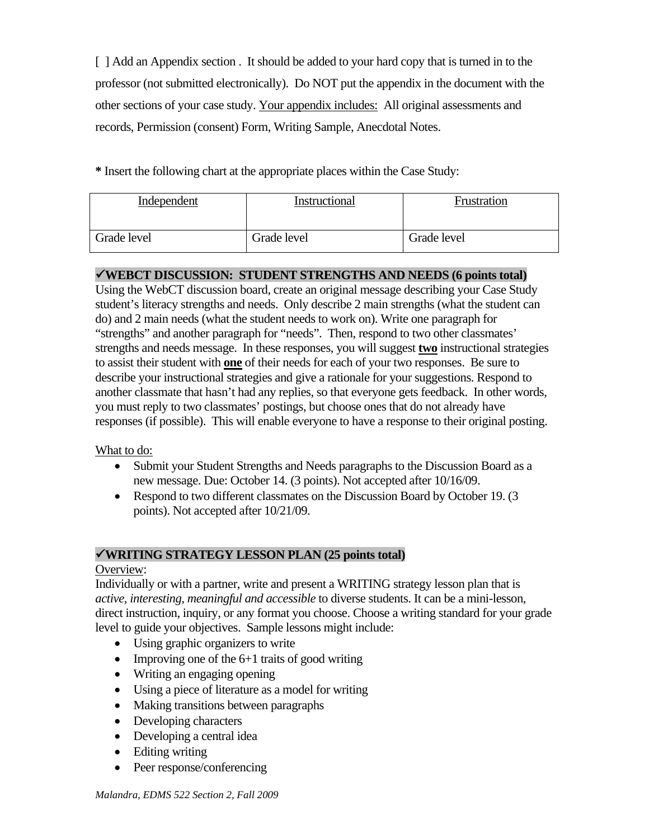[ ] Add an Appendix section . It should be added to your hard copy that is turned in to the professor (not submitted electronically). Do NOT put the appendix in the document with the other sections of your case study. Your appendix includes: All original assessments and records, Permission (consent) Form, Writing Sample, Anecdotal Notes.

**\*** Insert the following chart at the appropriate places within the Case Study:

| Independent | Instructional | Frustration |
|-------------|---------------|-------------|
| Grade level | Grade level   | Grade level |

### 9**WEBCT DISCUSSION: STUDENT STRENGTHS AND NEEDS (6 points total)**

Using the WebCT discussion board, create an original message describing your Case Study student's literacy strengths and needs. Only describe 2 main strengths (what the student can do) and 2 main needs (what the student needs to work on). Write one paragraph for "strengths" and another paragraph for "needs". Then, respond to two other classmates' strengths and needs message. In these responses, you will suggest **two** instructional strategies to assist their student with **one** of their needs for each of your two responses. Be sure to describe your instructional strategies and give a rationale for your suggestions. Respond to another classmate that hasn't had any replies, so that everyone gets feedback. In other words, you must reply to two classmates' postings, but choose ones that do not already have responses (if possible). This will enable everyone to have a response to their original posting.

What to do:

- Submit your Student Strengths and Needs paragraphs to the Discussion Board as a new message. Due: October 14. (3 points). Not accepted after 10/16/09.
- Respond to two different classmates on the Discussion Board by October 19. (3) points). Not accepted after 10/21/09.

# 9**WRITING STRATEGY LESSON PLAN (25 points total)**

### Overview:

Individually or with a partner, write and present a WRITING strategy lesson plan that is *active, interesting, meaningful and accessible* to diverse students. It can be a mini-lesson, direct instruction, inquiry, or any format you choose. Choose a writing standard for your grade level to guide your objectives. Sample lessons might include:

- Using graphic organizers to write
- Improving one of the  $6+1$  traits of good writing
- Writing an engaging opening
- Using a piece of literature as a model for writing
- Making transitions between paragraphs
- Developing characters
- Developing a central idea
- Editing writing
- Peer response/conferencing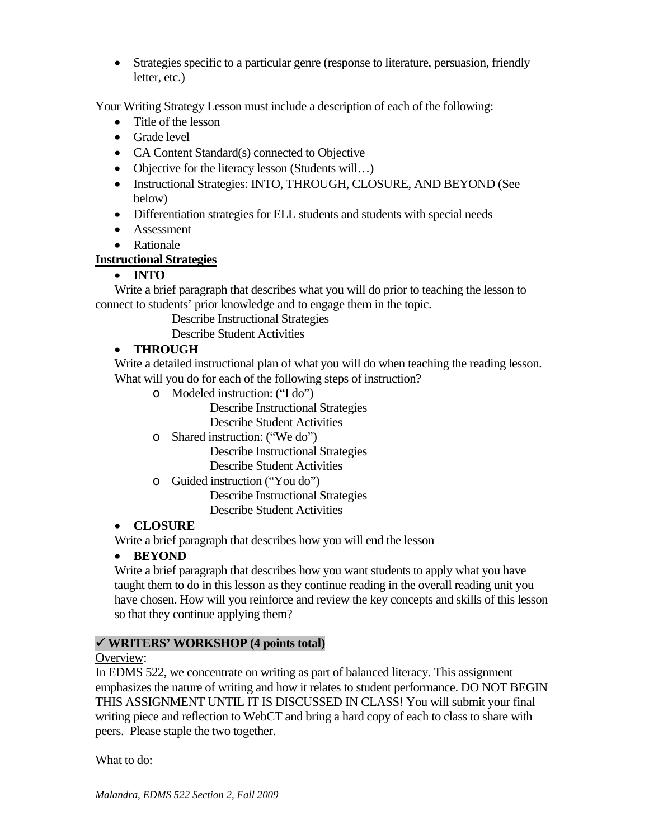• Strategies specific to a particular genre (response to literature, persuasion, friendly letter, etc.)

Your Writing Strategy Lesson must include a description of each of the following:

- Title of the lesson
- Grade level
- CA Content Standard(s) connected to Objective
- Objective for the literacy lesson (Students will...)
- Instructional Strategies: INTO, THROUGH, CLOSURE, AND BEYOND (See below)
- Differentiation strategies for ELL students and students with special needs
- Assessment
- Rationale

### **Instructional Strategies**

### • **INTO**

Write a brief paragraph that describes what you will do prior to teaching the lesson to connect to students' prior knowledge and to engage them in the topic.

Describe Instructional Strategies

Describe Student Activities

# • **THROUGH**

Write a detailed instructional plan of what you will do when teaching the reading lesson. What will you do for each of the following steps of instruction?

o Modeled instruction: ("I do")

Describe Instructional Strategies

Describe Student Activities

o Shared instruction: ("We do")

Describe Instructional Strategies Describe Student Activities

o Guided instruction ("You do")

Describe Instructional Strategies Describe Student Activities

# • **CLOSURE**

Write a brief paragraph that describes how you will end the lesson

#### • **BEYOND**

Write a brief paragraph that describes how you want students to apply what you have taught them to do in this lesson as they continue reading in the overall reading unit you have chosen. How will you reinforce and review the key concepts and skills of this lesson so that they continue applying them?

#### 9 **WRITERS' WORKSHOP (4 points total)**

#### Overview:

peers. <u>Please staple the two together.</u><br>What to do: In EDMS 522, we concentrate on writing as part of balanced literacy. This assignment emphasizes the nature of writing and how it relates to student performance. DO NOT BEGIN THIS ASSIGNMENT UNTIL IT IS DISCUSSED IN CLASS! You will submit your final writing piece and reflection to WebCT and bring a hard copy of each to class to share with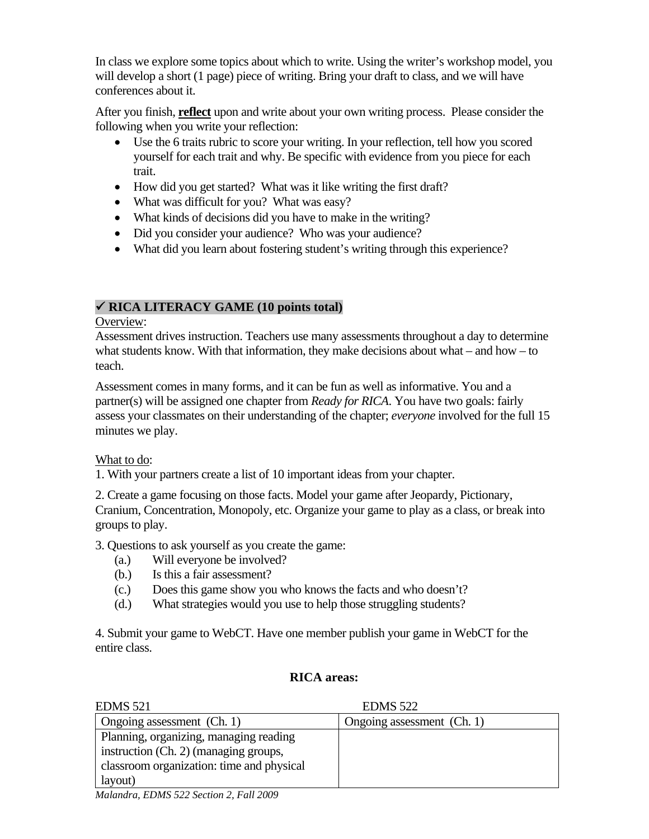In class we explore some topics about which to write. Using the writer's workshop model, you will develop a short (1 page) piece of writing. Bring your draft to class, and we will have conferences about it.

After you finish, **reflect** upon and write about your own writing process. Please consider the following when you write your reflection:

- Use the 6 traits rubric to score your writing. In your reflection, tell how you scored yourself for each trait and why. Be specific with evidence from you piece for each trait.
- How did you get started? What was it like writing the first draft?
- What was difficult for you? What was easy?
- What kinds of decisions did you have to make in the writing?
- Did you consider your audience? Who was your audience?
- What did you learn about fostering student's writing through this experience?

# 9 **RICA LITERACY GAME (10 points total)**

# Overview:

Assessment drives instruction. Teachers use many assessments throughout a day to determine what students know. With that information, they make decisions about what – and how – to teach.

Assessment comes in many forms, and it can be fun as well as informative. You and a partner(s) will be assigned one chapter from *Ready for RICA*. You have two goals: fairly assess your classmates on their understanding of the chapter; *everyone* involved for the full 15 minutes we play.

# What to do:

1. With your partners create a list of 10 important ideas from your chapter.

2. Create a game focusing on those facts. Model your game after Jeopardy, Pictionary, Cranium, Concentration, Monopoly, etc. Organize your game to play as a class, or break into groups to play.

3. Questions to ask yourself as you create the game:

- (a.) Will everyone be involved?
- Is this a fair assessment?
- (b.) Is this a fair assessment? (c.) Does this game show you who knows the facts and who doesn't?
- (d.) What strategies would you use to help those struggling students?

4. Submit your game to WebCT. Have one member publish your game in WebCT for the entire class.

# **RICA areas:**

| <b>EDMS</b> 521                           | <b>EDMS</b> 522            |
|-------------------------------------------|----------------------------|
| Ongoing assessment (Ch. 1)                | Ongoing assessment (Ch. 1) |
| Planning, organizing, managing reading    |                            |
| instruction (Ch. 2) (managing groups,     |                            |
| classroom organization: time and physical |                            |
| layout)                                   |                            |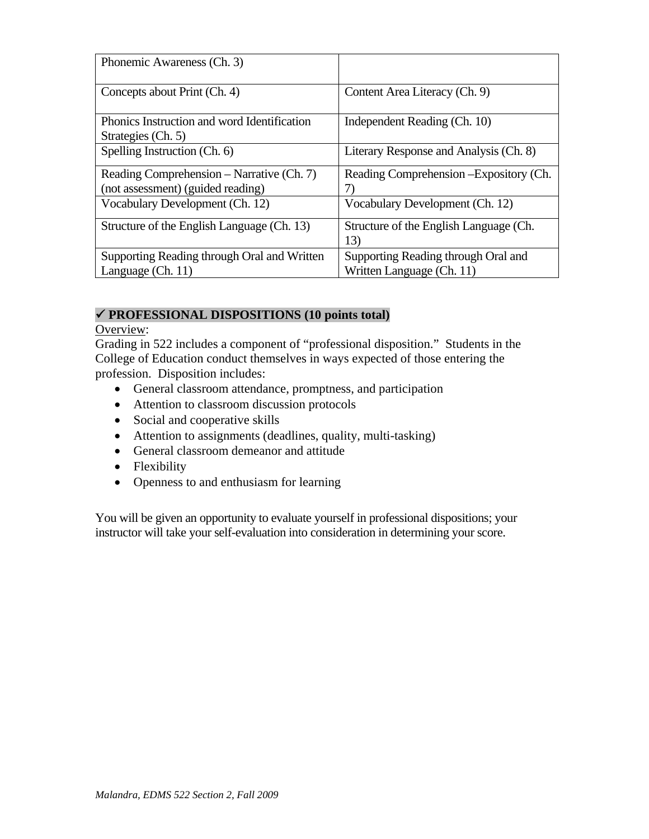| Phonemic Awareness (Ch. 3)                  |                                         |  |
|---------------------------------------------|-----------------------------------------|--|
| Concepts about Print (Ch. 4)                | Content Area Literacy (Ch. 9)           |  |
| Phonics Instruction and word Identification | Independent Reading (Ch. 10)            |  |
| Strategies (Ch. 5)                          |                                         |  |
| Spelling Instruction (Ch. 6)                | Literary Response and Analysis (Ch. 8)  |  |
| Reading Comprehension – Narrative (Ch. 7)   | Reading Comprehension – Expository (Ch. |  |
| (not assessment) (guided reading)           |                                         |  |
| Vocabulary Development (Ch. 12)             | Vocabulary Development (Ch. 12)         |  |
| Structure of the English Language (Ch. 13)  | Structure of the English Language (Ch.  |  |
|                                             | 13)                                     |  |
| Supporting Reading through Oral and Written | Supporting Reading through Oral and     |  |
| Language $(Ch. 11)$                         | Written Language (Ch. 11)               |  |

#### 9 **PROFESSIONAL DISPOSITIONS (10 points total)**

#### Overview:

Grading in 522 includes a component of "professional disposition." Students in the College of Education conduct themselves in ways expected of those entering the profession. Disposition includes:

- General classroom attendance, promptness, and participation
- Attention to classroom discussion protocols
- Social and cooperative skills
- Attention to assignments (deadlines, quality, multi-tasking)
- General classroom demeanor and attitude
- Flexibility
- Openness to and enthusiasm for learning

You will be given an opportunity to evaluate yourself in professional dispositions; your instructor will take your self-evaluation into consideration in determining your score.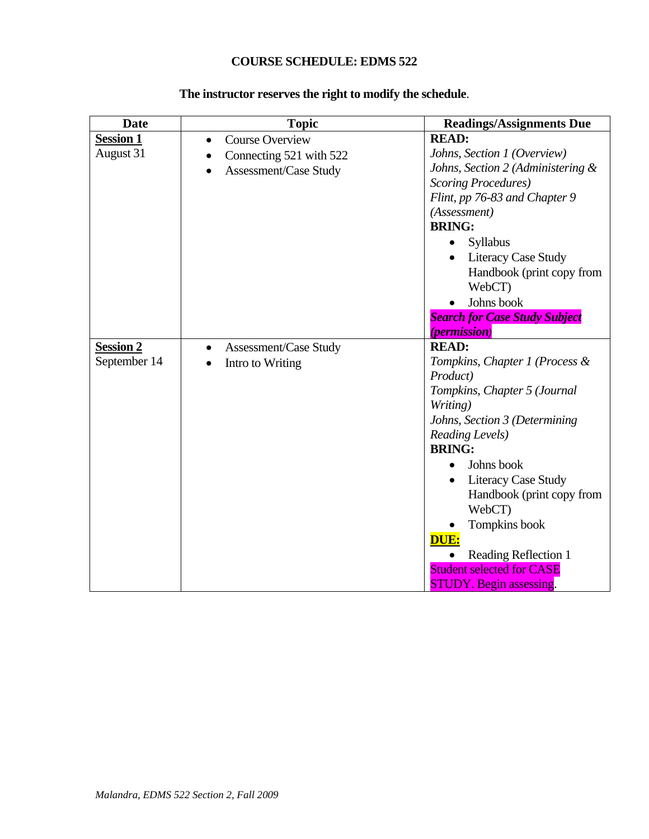# **COURSE SCHEDULE: EDMS 522**

| <b>Date</b>      | <b>Topic</b>                        | <b>Readings/Assignments Due</b>      |
|------------------|-------------------------------------|--------------------------------------|
| <b>Session 1</b> | <b>Course Overview</b><br>$\bullet$ | <b>READ:</b>                         |
| August 31        | Connecting 521 with 522             | Johns, Section 1 (Overview)          |
|                  | Assessment/Case Study               | Johns, Section 2 (Administering &    |
|                  |                                     | <b>Scoring Procedures</b> )          |
|                  |                                     | Flint, pp 76-83 and Chapter 9        |
|                  |                                     | (Assessment)                         |
|                  |                                     | <b>BRING:</b>                        |
|                  |                                     | Syllabus                             |
|                  |                                     | <b>Literacy Case Study</b>           |
|                  |                                     | Handbook (print copy from<br>WebCT)  |
|                  |                                     | Johns book                           |
|                  |                                     | <b>Search for Case Study Subject</b> |
|                  |                                     | <i>(permission)</i>                  |
| <b>Session 2</b> | Assessment/Case Study<br>$\bullet$  | <b>READ:</b>                         |
| September 14     | Intro to Writing                    | Tompkins, Chapter 1 (Process &       |
|                  |                                     | Product)                             |
|                  |                                     | Tompkins, Chapter 5 (Journal         |
|                  |                                     | Writing)                             |
|                  |                                     | Johns, Section 3 (Determining        |
|                  |                                     | <b>Reading Levels</b> )              |
|                  |                                     | <b>BRING:</b>                        |
|                  |                                     | Johns book                           |
|                  |                                     | <b>Literacy Case Study</b>           |
|                  |                                     | Handbook (print copy from<br>WebCT)  |
|                  |                                     | Tompkins book                        |
|                  |                                     | DUE:                                 |
|                  |                                     | Reading Reflection 1                 |
|                  |                                     | <b>Student selected for CASE</b>     |
|                  |                                     | <b>STUDY.</b> Begin assessing.       |

# **The instructor reserves the right to modify the schedule**.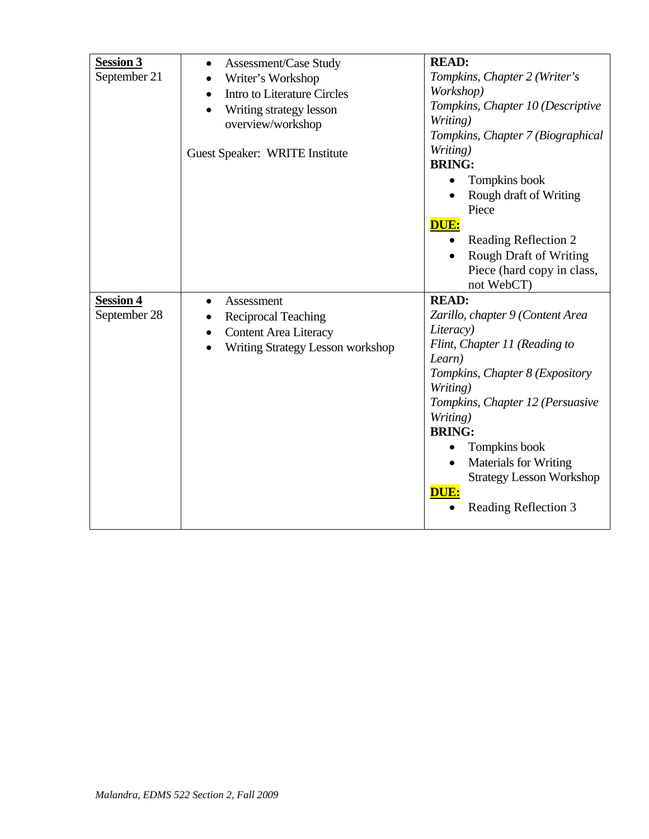| <b>Session 3</b><br>September 21 | Assessment/Case Study<br>٠<br>Writer's Workshop<br><b>Intro to Literature Circles</b><br>$\bullet$<br>Writing strategy lesson<br>overview/workshop<br>Guest Speaker: WRITE Institute | <b>READ:</b><br>Tompkins, Chapter 2 (Writer's<br>Workshop)<br>Tompkins, Chapter 10 (Descriptive<br>Writing)<br>Tompkins, Chapter 7 (Biographical<br>Writing)<br><b>BRING:</b><br>Tompkins book<br>Rough draft of Writing<br>Piece<br>DUE:<br>Reading Reflection 2<br>$\bullet$<br><b>Rough Draft of Writing</b><br>Piece (hard copy in class,<br>not WebCT) |
|----------------------------------|--------------------------------------------------------------------------------------------------------------------------------------------------------------------------------------|-------------------------------------------------------------------------------------------------------------------------------------------------------------------------------------------------------------------------------------------------------------------------------------------------------------------------------------------------------------|
| <b>Session 4</b><br>September 28 | Assessment<br><b>Reciprocal Teaching</b><br><b>Content Area Literacy</b><br>$\bullet$<br><b>Writing Strategy Lesson workshop</b>                                                     | <b>READ:</b><br>Zarillo, chapter 9 (Content Area<br>Literacy)<br>Flint, Chapter 11 (Reading to<br>Learn)<br>Tompkins, Chapter 8 (Expository<br>Writing)<br>Tompkins, Chapter 12 (Persuasive<br>Writing)<br><b>BRING:</b><br>Tompkins book<br>Materials for Writing<br><b>Strategy Lesson Workshop</b><br>DUE:<br>Reading Reflection 3                       |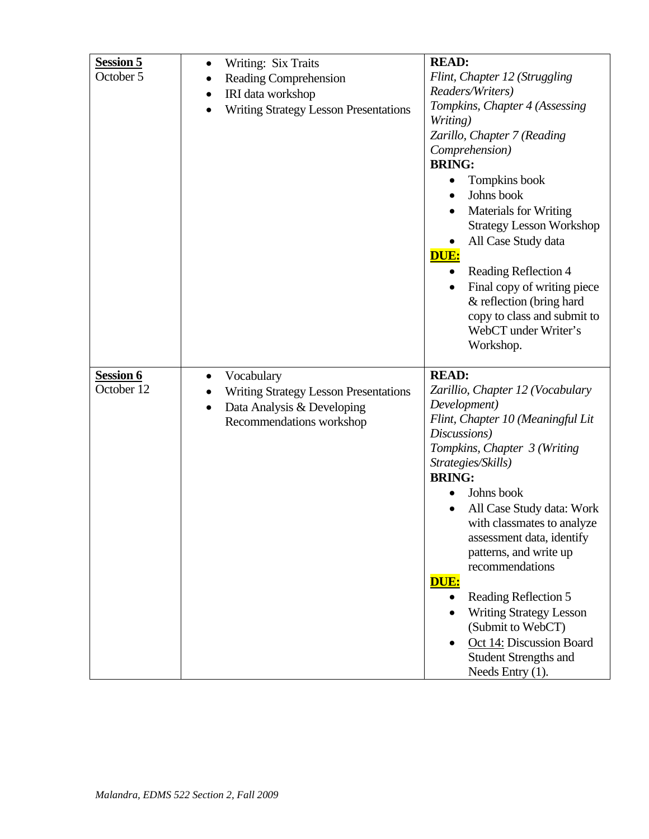| <b>Session 5</b><br>October 5 | Writing: Six Traits<br><b>Reading Comprehension</b><br>IRI data workshop<br>٠<br>Writing Strategy Lesson Presentations            | <b>READ:</b><br>Flint, Chapter 12 (Struggling<br>Readers/Writers)<br>Tompkins, Chapter 4 (Assessing<br>Writing)<br>Zarillo, Chapter 7 (Reading<br>Comprehension)<br><b>BRING:</b><br>Tompkins book<br>Johns book<br>$\bullet$<br><b>Materials for Writing</b><br><b>Strategy Lesson Workshop</b><br>All Case Study data<br>DUE:<br>Reading Reflection 4<br>٠<br>Final copy of writing piece<br>& reflection (bring hard<br>copy to class and submit to<br>WebCT under Writer's<br>Workshop.                            |
|-------------------------------|-----------------------------------------------------------------------------------------------------------------------------------|------------------------------------------------------------------------------------------------------------------------------------------------------------------------------------------------------------------------------------------------------------------------------------------------------------------------------------------------------------------------------------------------------------------------------------------------------------------------------------------------------------------------|
| Session 6<br>October 12       | Vocabulary<br><b>Writing Strategy Lesson Presentations</b><br>Data Analysis & Developing<br>$\bullet$<br>Recommendations workshop | <b>READ:</b><br>Zarillio, Chapter 12 (Vocabulary<br>Development)<br>Flint, Chapter 10 (Meaningful Lit<br>Discussions)<br>Tompkins, Chapter 3 (Writing<br>Strategies/Skills)<br><b>BRING:</b><br>Johns book<br>All Case Study data: Work<br>with classmates to analyze<br>assessment data, identify<br>patterns, and write up<br>recommendations<br>DUE:<br>Reading Reflection 5<br><b>Writing Strategy Lesson</b><br>(Submit to WebCT)<br>Oct 14: Discussion Board<br><b>Student Strengths and</b><br>Needs Entry (1). |